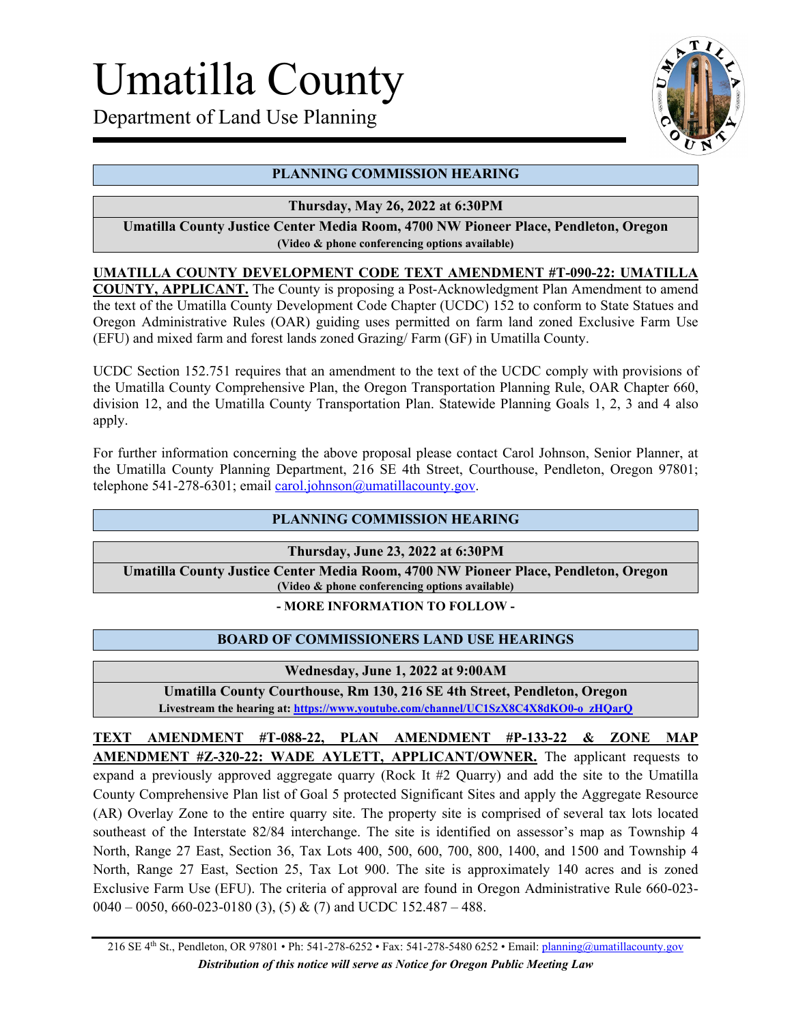# Umatilla County

Department of Land Use Planning



# **PLANNING COMMISSION HEARING**

## **Thursday, May 26, 2022 at 6:30PM**

**Umatilla County Justice Center Media Room, 4700 NW Pioneer Place, Pendleton, Oregon (Video & phone conferencing options available)**

## **UMATILLA COUNTY DEVELOPMENT CODE TEXT AMENDMENT #T-090-22: UMATILLA**

**COUNTY, APPLICANT.** The County is proposing a Post-Acknowledgment Plan Amendment to amend the text of the Umatilla County Development Code Chapter (UCDC) 152 to conform to State Statues and Oregon Administrative Rules (OAR) guiding uses permitted on farm land zoned Exclusive Farm Use (EFU) and mixed farm and forest lands zoned Grazing/ Farm (GF) in Umatilla County.

UCDC Section 152.751 requires that an amendment to the text of the UCDC comply with provisions of the Umatilla County Comprehensive Plan, the Oregon Transportation Planning Rule, OAR Chapter 660, division 12, and the Umatilla County Transportation Plan. Statewide Planning Goals 1, 2, 3 and 4 also apply.

For further information concerning the above proposal please contact Carol Johnson, Senior Planner, at the Umatilla County Planning Department, 216 SE 4th Street, Courthouse, Pendleton, Oregon 97801; telephone 541-278-6301; email [carol.johnson@umatillacounty.gov.](mailto:carol.johnson@umatillacounty.gov)

#### **PLANNING COMMISSION HEARING**

**Thursday, June 23, 2022 at 6:30PM**

**Umatilla County Justice Center Media Room, 4700 NW Pioneer Place, Pendleton, Oregon (Video & phone conferencing options available)**

#### **- MORE INFORMATION TO FOLLOW -**

#### **BOARD OF COMMISSIONERS LAND USE HEARINGS**

#### **Wednesday, June 1, 2022 at 9:00AM**

**Umatilla County Courthouse, Rm 130, 216 SE 4th Street, Pendleton, Oregon Livestream the hearing at: [https://www.youtube.com/channel/UC1SzX8C4X8dKO0-o\\_zHQarQ](https://www.youtube.com/channel/UC1SzX8C4X8dKO0-o_zHQarQ)** 

**TEXT AMENDMENT #T-088-22, PLAN AMENDMENT #P-133-22 & ZONE MAP AMENDMENT #Z-320-22: WADE AYLETT, APPLICANT/OWNER.** The applicant requests to expand a previously approved aggregate quarry (Rock It #2 Quarry) and add the site to the Umatilla County Comprehensive Plan list of Goal 5 protected Significant Sites and apply the Aggregate Resource (AR) Overlay Zone to the entire quarry site. The property site is comprised of several tax lots located southeast of the Interstate 82/84 interchange. The site is identified on assessor's map as Township 4 North, Range 27 East, Section 36, Tax Lots 400, 500, 600, 700, 800, 1400, and 1500 and Township 4 North, Range 27 East, Section 25, Tax Lot 900. The site is approximately 140 acres and is zoned Exclusive Farm Use (EFU). The criteria of approval are found in Oregon Administrative Rule 660-023-  $0.040 - 0.050, 660 - 0.023 - 0.180$  (3), (5) & (7) and UCDC 152.487 – 488.